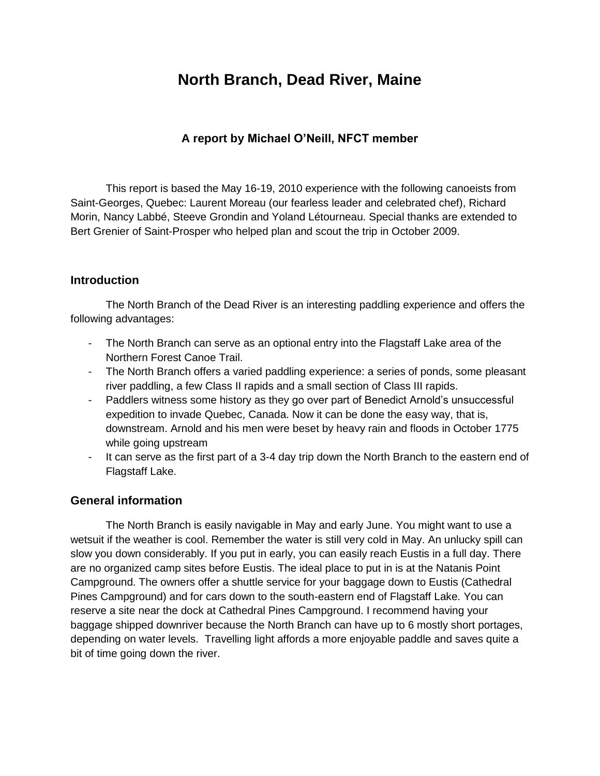# **North Branch, Dead River, Maine**

## **A report by Michael O'Neill, NFCT member**

This report is based the May 16-19, 2010 experience with the following canoeists from Saint-Georges, Quebec: Laurent Moreau (our fearless leader and celebrated chef), Richard Morin, Nancy Labbé, Steeve Grondin and Yoland Létourneau. Special thanks are extended to Bert Grenier of Saint-Prosper who helped plan and scout the trip in October 2009.

## **Introduction**

The North Branch of the Dead River is an interesting paddling experience and offers the following advantages:

- The North Branch can serve as an optional entry into the Flagstaff Lake area of the Northern Forest Canoe Trail.
- The North Branch offers a varied paddling experience: a series of ponds, some pleasant river paddling, a few Class II rapids and a small section of Class III rapids.
- Paddlers witness some history as they go over part of Benedict Arnold's unsuccessful expedition to invade Quebec, Canada. Now it can be done the easy way, that is, downstream. Arnold and his men were beset by heavy rain and floods in October 1775 while going upstream
- It can serve as the first part of a 3-4 day trip down the North Branch to the eastern end of Flagstaff Lake.

## **General information**

The North Branch is easily navigable in May and early June. You might want to use a wetsuit if the weather is cool. Remember the water is still very cold in May. An unlucky spill can slow you down considerably. If you put in early, you can easily reach Eustis in a full day. There are no organized camp sites before Eustis. The ideal place to put in is at the Natanis Point Campground. The owners offer a shuttle service for your baggage down to Eustis (Cathedral Pines Campground) and for cars down to the south-eastern end of Flagstaff Lake. You can reserve a site near the dock at Cathedral Pines Campground. I recommend having your baggage shipped downriver because the North Branch can have up to 6 mostly short portages, depending on water levels. Travelling light affords a more enjoyable paddle and saves quite a bit of time going down the river.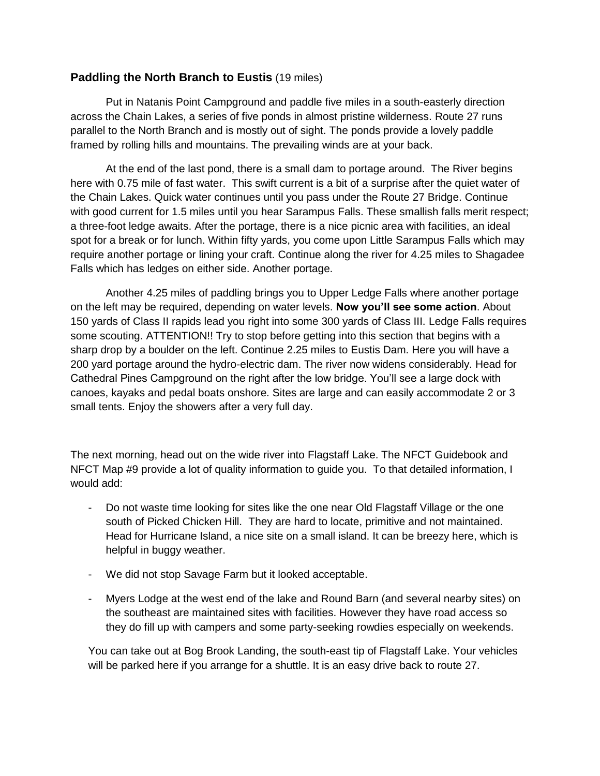#### **Paddling the North Branch to Eustis** (19 miles)

Put in Natanis Point Campground and paddle five miles in a south-easterly direction across the Chain Lakes, a series of five ponds in almost pristine wilderness. Route 27 runs parallel to the North Branch and is mostly out of sight. The ponds provide a lovely paddle framed by rolling hills and mountains. The prevailing winds are at your back.

At the end of the last pond, there is a small dam to portage around. The River begins here with 0.75 mile of fast water. This swift current is a bit of a surprise after the quiet water of the Chain Lakes. Quick water continues until you pass under the Route 27 Bridge. Continue with good current for 1.5 miles until you hear Sarampus Falls. These smallish falls merit respect; a three-foot ledge awaits. After the portage, there is a nice picnic area with facilities, an ideal spot for a break or for lunch. Within fifty yards, you come upon Little Sarampus Falls which may require another portage or lining your craft. Continue along the river for 4.25 miles to Shagadee Falls which has ledges on either side. Another portage.

Another 4.25 miles of paddling brings you to Upper Ledge Falls where another portage on the left may be required, depending on water levels. **Now you'll see some action**. About 150 yards of Class II rapids lead you right into some 300 yards of Class III. Ledge Falls requires some scouting. ATTENTION!! Try to stop before getting into this section that begins with a sharp drop by a boulder on the left. Continue 2.25 miles to Eustis Dam. Here you will have a 200 yard portage around the hydro-electric dam. The river now widens considerably. Head for Cathedral Pines Campground on the right after the low bridge. You'll see a large dock with canoes, kayaks and pedal boats onshore. Sites are large and can easily accommodate 2 or 3 small tents. Enjoy the showers after a very full day.

The next morning, head out on the wide river into Flagstaff Lake. The NFCT Guidebook and NFCT Map #9 provide a lot of quality information to guide you. To that detailed information, I would add:

- Do not waste time looking for sites like the one near Old Flagstaff Village or the one south of Picked Chicken Hill. They are hard to locate, primitive and not maintained. Head for Hurricane Island, a nice site on a small island. It can be breezy here, which is helpful in buggy weather.
- We did not stop Savage Farm but it looked acceptable.
- Myers Lodge at the west end of the lake and Round Barn (and several nearby sites) on the southeast are maintained sites with facilities. However they have road access so they do fill up with campers and some party-seeking rowdies especially on weekends.

You can take out at Bog Brook Landing, the south-east tip of Flagstaff Lake. Your vehicles will be parked here if you arrange for a shuttle. It is an easy drive back to route 27.